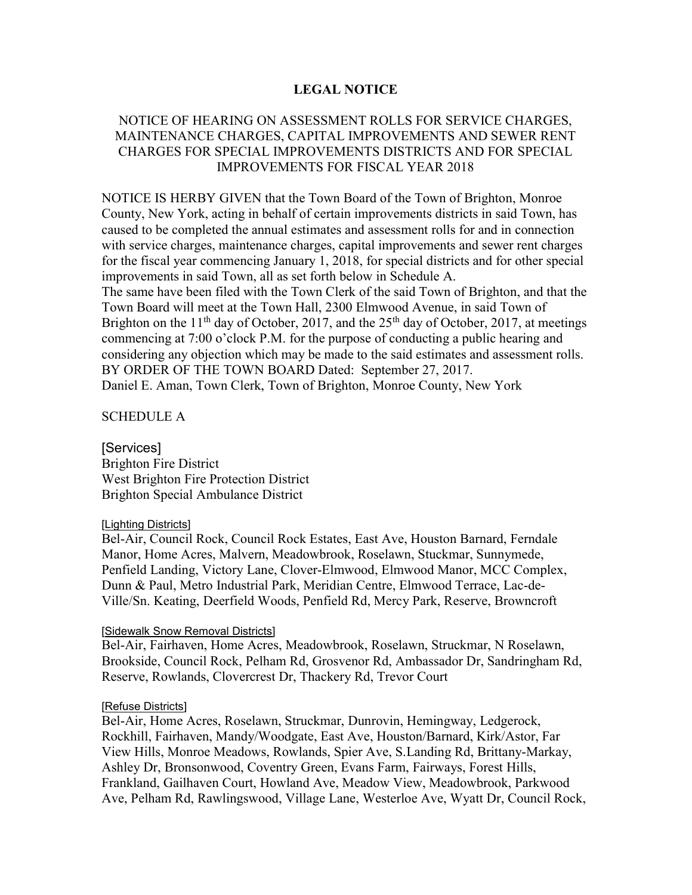# LEGAL NOTICE

# NOTICE OF HEARING ON ASSESSMENT ROLLS FOR SERVICE CHARGES, MAINTENANCE CHARGES, CAPITAL IMPROVEMENTS AND SEWER RENT CHARGES FOR SPECIAL IMPROVEMENTS DISTRICTS AND FOR SPECIAL IMPROVEMENTS FOR FISCAL YEAR 2018

NOTICE IS HERBY GIVEN that the Town Board of the Town of Brighton, Monroe County, New York, acting in behalf of certain improvements districts in said Town, has caused to be completed the annual estimates and assessment rolls for and in connection with service charges, maintenance charges, capital improvements and sewer rent charges for the fiscal year commencing January 1, 2018, for special districts and for other special improvements in said Town, all as set forth below in Schedule A. The same have been filed with the Town Clerk of the said Town of Brighton, and that the Town Board will meet at the Town Hall, 2300 Elmwood Avenue, in said Town of Brighton on the  $11<sup>th</sup>$  day of October, 2017, and the 25<sup>th</sup> day of October, 2017, at meetings commencing at 7:00 o'clock P.M. for the purpose of conducting a public hearing and considering any objection which may be made to the said estimates and assessment rolls. BY ORDER OF THE TOWN BOARD Dated: September 27, 2017. Daniel E. Aman, Town Clerk, Town of Brighton, Monroe County, New York

SCHEDULE A

[Services] Brighton Fire District West Brighton Fire Protection District Brighton Special Ambulance District

### [Lighting Districts]

Bel-Air, Council Rock, Council Rock Estates, East Ave, Houston Barnard, Ferndale Manor, Home Acres, Malvern, Meadowbrook, Roselawn, Stuckmar, Sunnymede, Penfield Landing, Victory Lane, Clover-Elmwood, Elmwood Manor, MCC Complex, Dunn & Paul, Metro Industrial Park, Meridian Centre, Elmwood Terrace, Lac-de-Ville/Sn. Keating, Deerfield Woods, Penfield Rd, Mercy Park, Reserve, Browncroft

### [Sidewalk Snow Removal Districts]

Bel-Air, Fairhaven, Home Acres, Meadowbrook, Roselawn, Struckmar, N Roselawn, Brookside, Council Rock, Pelham Rd, Grosvenor Rd, Ambassador Dr, Sandringham Rd, Reserve, Rowlands, Clovercrest Dr, Thackery Rd, Trevor Court

#### [Refuse Districts]

Bel-Air, Home Acres, Roselawn, Struckmar, Dunrovin, Hemingway, Ledgerock, Rockhill, Fairhaven, Mandy/Woodgate, East Ave, Houston/Barnard, Kirk/Astor, Far View Hills, Monroe Meadows, Rowlands, Spier Ave, S.Landing Rd, Brittany-Markay, Ashley Dr, Bronsonwood, Coventry Green, Evans Farm, Fairways, Forest Hills, Frankland, Gailhaven Court, Howland Ave, Meadow View, Meadowbrook, Parkwood Ave, Pelham Rd, Rawlingswood, Village Lane, Westerloe Ave, Wyatt Dr, Council Rock,